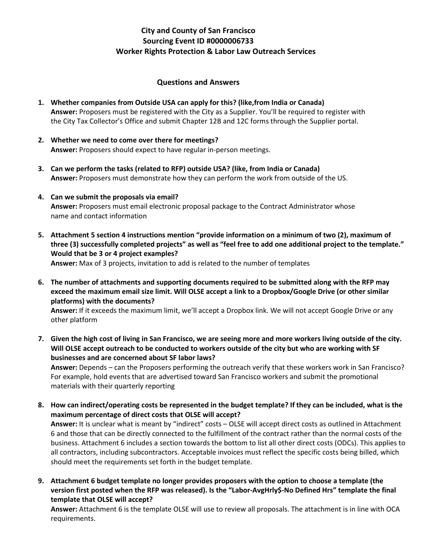## **City and County of San Francisco Sourcing Event ID #0000006733 Worker Rights Protection & Labor Law Outreach Services**

## **Questions and Answers**

- **1. Whether companies from Outside USA can apply for this? (like,from India or Canada) Answer:** Proposers must be registered with the City as a Supplier. You'll be required to register with the City Tax Collector's Office and submit Chapter 12B and 12C forms through the Supplier portal.
- **2. Whether we need to come over there for meetings? Answer:** Proposers should expect to have regular in-person meetings.
- **3. Can we perform the tasks (related to RFP) outside USA? (like, from India or Canada) Answer:** Proposers must demonstrate how they can perform the work from outside of the US.
- **4. Can we submit the proposals via email? Answer:** Proposers must email electronic proposal package to the Contract Administrator whose name and contact information
- **5. Attachment 5 section 4 instructions mention "provide information on a minimum of two (2), maximum of three (3) successfully completed projects" as well as "feel free to add one additional project to the template." Would that be 3 or 4 project examples? Answer:** Max of 3 projects, invitation to add is related to the number of templates

**6. The number of attachments and supporting documents required to be submitted along with the RFP may exceed the maximum email size limit. Will OLSE accept a link to a Dropbox/Google Drive (or other similar platforms) with the documents?** 

**Answer:** If it exceeds the maximum limit, we'll accept a Dropbox link. We will not accept Google Drive or any other platform

**7. Given the high cost of living in San Francisco, we are seeing more and more workers living outside of the city. Will OLSE accept outreach to be conducted to workers outside of the city but who are working with SF businesses and are concerned about SF labor laws?**

**Answer:** Depends – can the Proposers performing the outreach verify that these workers work in San Francisco? For example, hold events that are advertised toward San Francisco workers and submit the promotional materials with their quarterly reporting

**8. How can indirect/operating costs be represented in the budget template? If they can be included, what is the maximum percentage of direct costs that OLSE will accept?** 

**Answer:** It is unclear what is meant by "indirect" costs – OLSE will accept direct costs as outlined in Attachment 6 and those that can be directly connected to the fulfillment of the contract rather than the normal costs of the business. Attachment 6 includes a section towards the bottom to list all other direct costs (ODCs). This applies to all contractors, including subcontractors. Acceptable invoices must reflect the specific costs being billed, which should meet the requirements set forth in the budget template.

**9. Attachment 6 budget template no longer provides proposers with the option to choose a template (the version first posted when the RFP was released). Is the "Labor-AvgHrly\$-No Defined Hrs" template the final template that OLSE will accept?**

**Answer:** Attachment 6 is the template OLSE will use to review all proposals. The attachment is in line with OCA requirements.